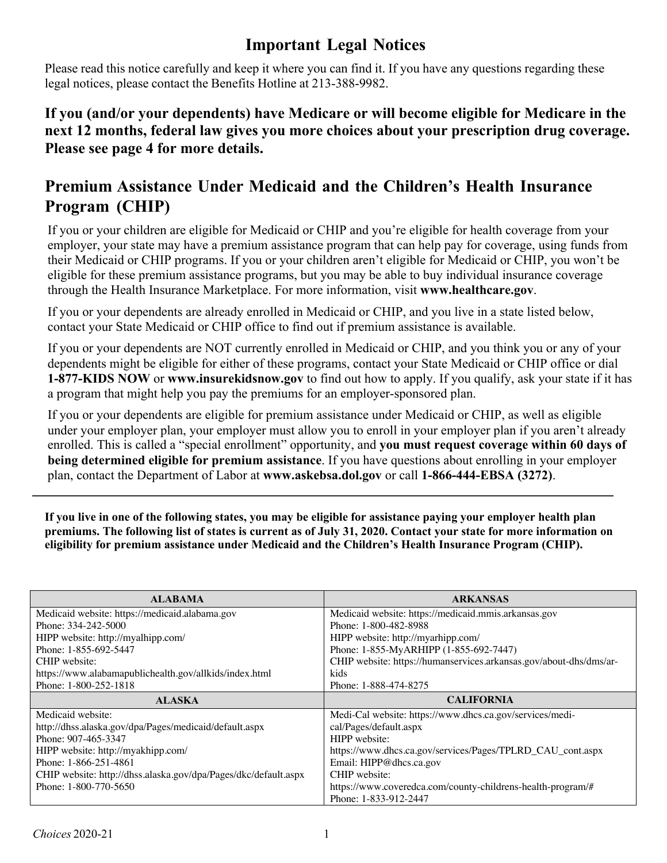## **Important Legal Notices**

Please read this notice carefully and keep it where you can find it. If you have any questions regarding these legal notices, please contact the Benefits Hotline at 213-388-9982.

## **If you (and/or your dependents) have Medicare or will become eligible for Medicare in the next 12 months, federal law gives you more choices about your prescription drug coverage. Please see page 4 for more details.**

## **Premium Assistance Under Medicaid and the Children's Health Insurance Program (CHIP)**

If you or your children are eligible for Medicaid or CHIP and you're eligible for health coverage from your employer, your state may have a premium assistance program that can help pay for coverage, using funds from their Medicaid or CHIP programs. If you or your children aren't eligible for Medicaid or CHIP, you won't be eligible for these premium assistance programs, but you may be able to buy individual insurance coverage through the Health Insurance Marketplace. For more information, visit **www.healthcare.gov**.

If you or your dependents are already enrolled in Medicaid or CHIP, and you live in a state listed below, contact your State Medicaid or CHIP office to find out if premium assistance is available.

If you or your dependents are NOT currently enrolled in Medicaid or CHIP, and you think you or any of your dependents might be eligible for either of these programs, contact your State Medicaid or CHIP office or dial **1-877-KIDS NOW** or **www.insurekidsnow.gov** to find out how to apply. If you qualify, ask your state if it has a program that might help you pay the premiums for an employer-sponsored plan.

If you or your dependents are eligible for premium assistance under Medicaid or CHIP, as well as eligible under your employer plan, your employer must allow you to enroll in your employer plan if you aren't already enrolled. This is called a "special enrollment" opportunity, and **you must request coverage within 60 days of being determined eligible for premium assistance**. If you have questions about enrolling in your employer plan, contact the Department of Labor at **www.askebsa.dol.gov** or call **1-866-444-EBSA (3272)**.

**If you live in one of the following states, you may be eligible for assistance paying your employer health plan premiums. The following list of states is current as of July 31, 2020. Contact your state for more information on eligibility for premium assistance under Medicaid and the Children's Health Insurance Program (CHIP).**

| <b>ALABAMA</b>                                                  | <b>ARKANSAS</b>                                                    |  |
|-----------------------------------------------------------------|--------------------------------------------------------------------|--|
| Medicaid website: https://medicaid.alabama.gov                  | Medicaid website: https://medicaid.mmis.arkansas.gov               |  |
| Phone: 334-242-5000                                             | Phone: 1-800-482-8988                                              |  |
| HIPP website: http://myalhipp.com/                              | HIPP website: http://myarhipp.com/                                 |  |
| Phone: 1-855-692-5447                                           | Phone: 1-855-MyARHIPP (1-855-692-7447)                             |  |
| CHIP website:                                                   | CHIP website: https://humanservices.arkansas.gov/about-dhs/dms/ar- |  |
| https://www.alabamapublichealth.gov/allkids/index.html          | kids                                                               |  |
| Phone: 1-800-252-1818                                           | Phone: 1-888-474-8275                                              |  |
|                                                                 |                                                                    |  |
| <b>ALASKA</b>                                                   | <b>CALIFORNIA</b>                                                  |  |
| Medicaid website:                                               | Medi-Cal website: https://www.dhcs.ca.gov/services/medi-           |  |
| http://dhss.alaska.gov/dpa/Pages/medicaid/default.aspx          | cal/Pages/default.aspx                                             |  |
| Phone: 907-465-3347                                             | HIPP website:                                                      |  |
| HIPP website: http://myakhipp.com/                              | https://www.dhcs.ca.gov/services/Pages/TPLRD_CAU_cont.aspx         |  |
| Phone: 1-866-251-4861                                           | Email: HIPP@dhcs.ca.gov                                            |  |
| CHIP website: http://dhss.alaska.gov/dpa/Pages/dkc/default.aspx | CHIP website:                                                      |  |
| Phone: 1-800-770-5650                                           | https://www.coveredca.com/county-childrens-health-program/#        |  |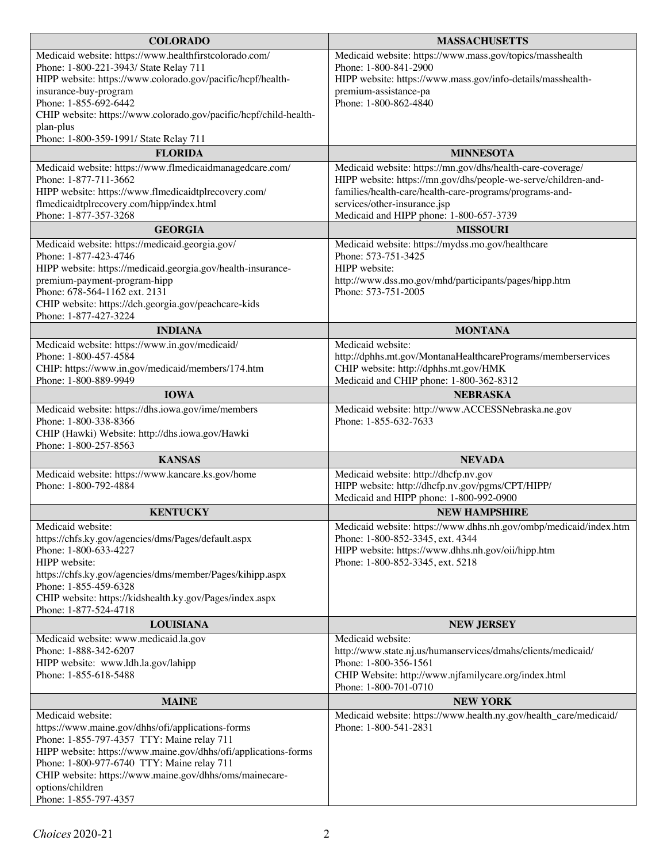| <b>COLORADO</b>                                                                   | <b>MASSACHUSETTS</b>                                                                                  |  |  |
|-----------------------------------------------------------------------------------|-------------------------------------------------------------------------------------------------------|--|--|
| Medicaid website: https://www.healthfirstcolorado.com/                            | Medicaid website: https://www.mass.gov/topics/masshealth                                              |  |  |
| Phone: 1-800-221-3943/ State Relay 711                                            | Phone: 1-800-841-2900                                                                                 |  |  |
| HIPP website: https://www.colorado.gov/pacific/hcpf/health-                       | HIPP website: https://www.mass.gov/info-details/masshealth-                                           |  |  |
| insurance-buy-program<br>Phone: 1-855-692-6442                                    | premium-assistance-pa                                                                                 |  |  |
| CHIP website: https://www.colorado.gov/pacific/hcpf/child-health-                 | Phone: 1-800-862-4840                                                                                 |  |  |
| plan-plus                                                                         |                                                                                                       |  |  |
| Phone: 1-800-359-1991/ State Relay 711                                            |                                                                                                       |  |  |
| <b>FLORIDA</b>                                                                    | <b>MINNESOTA</b>                                                                                      |  |  |
| Medicaid website: https://www.flmedicaidmanagedcare.com/                          | Medicaid website: https://mn.gov/dhs/health-care-coverage/                                            |  |  |
| Phone: 1-877-711-3662                                                             | HIPP website: https://mn.gov/dhs/people-we-serve/children-and-                                        |  |  |
| HIPP website: https://www.flmedicaidtplrecovery.com/                              | families/health-care/health-care-programs/programs-and-                                               |  |  |
| flmedicaidtplrecovery.com/hipp/index.html                                         | services/other-insurance.jsp                                                                          |  |  |
| Phone: 1-877-357-3268                                                             | Medicaid and HIPP phone: 1-800-657-3739                                                               |  |  |
| <b>GEORGIA</b>                                                                    | <b>MISSOURI</b>                                                                                       |  |  |
| Medicaid website: https://medicaid.georgia.gov/<br>Phone: 1-877-423-4746          | Medicaid website: https://mydss.mo.gov/healthcare<br>Phone: 573-751-3425                              |  |  |
| HIPP website: https://medicaid.georgia.gov/health-insurance-                      | HIPP website:                                                                                         |  |  |
| premium-payment-program-hipp                                                      | http://www.dss.mo.gov/mhd/participants/pages/hipp.htm                                                 |  |  |
| Phone: 678-564-1162 ext. 2131                                                     | Phone: 573-751-2005                                                                                   |  |  |
| CHIP website: https://dch.georgia.gov/peachcare-kids                              |                                                                                                       |  |  |
| Phone: 1-877-427-3224                                                             |                                                                                                       |  |  |
| <b>INDIANA</b>                                                                    | <b>MONTANA</b>                                                                                        |  |  |
| Medicaid website: https://www.in.gov/medicaid/<br>Phone: 1-800-457-4584           | Medicaid website:                                                                                     |  |  |
| CHIP: https://www.in.gov/medicaid/members/174.htm                                 | http://dphhs.mt.gov/MontanaHealthcarePrograms/memberservices<br>CHIP website: http://dphhs.mt.gov/HMK |  |  |
| Phone: 1-800-889-9949                                                             | Medicaid and CHIP phone: 1-800-362-8312                                                               |  |  |
| <b>IOWA</b>                                                                       | <b>NEBRASKA</b>                                                                                       |  |  |
| Medicaid website: https://dhs.iowa.gov/ime/members                                | Medicaid website: http://www.ACCESSNebraska.ne.gov                                                    |  |  |
| Phone: 1-800-338-8366                                                             | Phone: 1-855-632-7633                                                                                 |  |  |
| CHIP (Hawki) Website: http://dhs.iowa.gov/Hawki<br>Phone: 1-800-257-8563          |                                                                                                       |  |  |
| <b>KANSAS</b>                                                                     | <b>NEVADA</b>                                                                                         |  |  |
| Medicaid website: https://www.kancare.ks.gov/home                                 | Medicaid website: http://dhcfp.nv.gov                                                                 |  |  |
| Phone: 1-800-792-4884                                                             | HIPP website: http://dhcfp.nv.gov/pgms/CPT/HIPP/                                                      |  |  |
|                                                                                   | Medicaid and HIPP phone: 1-800-992-0900                                                               |  |  |
| <b>KENTUCKY</b>                                                                   | <b>NEW HAMPSHIRE</b>                                                                                  |  |  |
| Medicaid website:                                                                 | Medicaid website: https://www.dhhs.nh.gov/ombp/medicaid/index.htm<br>Phone: 1-800-852-3345, ext. 4344 |  |  |
| https://chfs.ky.gov/agencies/dms/Pages/default.aspx<br>Phone: 1-800-633-4227      | HIPP website: https://www.dhhs.nh.gov/oii/hipp.htm                                                    |  |  |
| HIPP website:                                                                     | Phone: 1-800-852-3345, ext. 5218                                                                      |  |  |
| https://chfs.ky.gov/agencies/dms/member/Pages/kihipp.aspx                         |                                                                                                       |  |  |
| Phone: 1-855-459-6328                                                             |                                                                                                       |  |  |
| CHIP website: https://kidshealth.ky.gov/Pages/index.aspx<br>Phone: 1-877-524-4718 |                                                                                                       |  |  |
| <b>LOUISIANA</b>                                                                  | <b>NEW JERSEY</b>                                                                                     |  |  |
| Medicaid website: www.medicaid.la.gov                                             | Medicaid website:                                                                                     |  |  |
| Phone: 1-888-342-6207                                                             | http://www.state.nj.us/humanservices/dmahs/clients/medicaid/                                          |  |  |
| HIPP website: www.ldh.la.gov/lahipp                                               | Phone: 1-800-356-1561                                                                                 |  |  |
| Phone: 1-855-618-5488                                                             | CHIP Website: http://www.njfamilycare.org/index.html                                                  |  |  |
|                                                                                   | Phone: 1-800-701-0710                                                                                 |  |  |
| <b>MAINE</b><br>Medicaid website:                                                 | <b>NEW YORK</b><br>Medicaid website: https://www.health.ny.gov/health_care/medicaid/                  |  |  |
| https://www.maine.gov/dhhs/ofi/applications-forms                                 | Phone: 1-800-541-2831                                                                                 |  |  |
| Phone: 1-855-797-4357 TTY: Maine relay 711                                        |                                                                                                       |  |  |
| HIPP website: https://www.maine.gov/dhhs/ofi/applications-forms                   |                                                                                                       |  |  |
| Phone: 1-800-977-6740 TTY: Maine relay 711                                        |                                                                                                       |  |  |
| CHIP website: https://www.maine.gov/dhhs/oms/mainecare-                           |                                                                                                       |  |  |
| options/children<br>Phone: 1-855-797-4357                                         |                                                                                                       |  |  |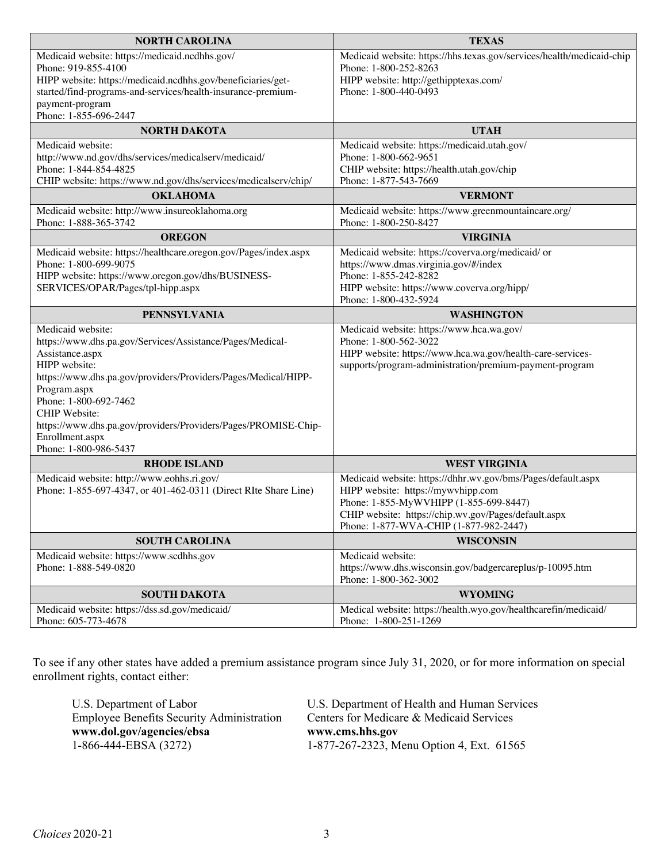| <b>NORTH CAROLINA</b>                                                                                                        | <b>TEXAS</b>                                                                      |  |
|------------------------------------------------------------------------------------------------------------------------------|-----------------------------------------------------------------------------------|--|
| Medicaid website: https://medicaid.ncdhhs.gov/                                                                               | Medicaid website: https://hhs.texas.gov/services/health/medicaid-chip             |  |
| Phone: 919-855-4100                                                                                                          | Phone: 1-800-252-8263                                                             |  |
| HIPP website: https://medicaid.ncdhhs.gov/beneficiaries/get-<br>started/find-programs-and-services/health-insurance-premium- | HIPP website: http://gethipptexas.com/<br>Phone: 1-800-440-0493                   |  |
| payment-program                                                                                                              |                                                                                   |  |
| Phone: 1-855-696-2447                                                                                                        |                                                                                   |  |
| <b>NORTH DAKOTA</b>                                                                                                          | <b>UTAH</b>                                                                       |  |
| Medicaid website:                                                                                                            | Medicaid website: https://medicaid.utah.gov/                                      |  |
| http://www.nd.gov/dhs/services/medicalserv/medicaid/                                                                         | Phone: 1-800-662-9651                                                             |  |
| Phone: 1-844-854-4825                                                                                                        | CHIP website: https://health.utah.gov/chip                                        |  |
| CHIP website: https://www.nd.gov/dhs/services/medicalserv/chip/<br><b>OKLAHOMA</b>                                           | Phone: 1-877-543-7669<br><b>VERMONT</b>                                           |  |
|                                                                                                                              |                                                                                   |  |
| Medicaid website: http://www.insureoklahoma.org<br>Phone: 1-888-365-3742                                                     | Medicaid website: https://www.greenmountaincare.org/<br>Phone: 1-800-250-8427     |  |
| <b>OREGON</b>                                                                                                                | <b>VIRGINIA</b>                                                                   |  |
| Medicaid website: https://healthcare.oregon.gov/Pages/index.aspx                                                             | Medicaid website: https://coverva.org/medicaid/ or                                |  |
| Phone: 1-800-699-9075                                                                                                        | https://www.dmas.virginia.gov/#/index                                             |  |
| HIPP website: https://www.oregon.gov/dhs/BUSINESS-                                                                           | Phone: 1-855-242-8282                                                             |  |
| SERVICES/OPAR/Pages/tpl-hipp.aspx                                                                                            | HIPP website: https://www.coverva.org/hipp/                                       |  |
| <b>PENNSYLVANIA</b>                                                                                                          | Phone: 1-800-432-5924<br><b>WASHINGTON</b>                                        |  |
| Medicaid website:                                                                                                            | Medicaid website: https://www.hca.wa.gov/                                         |  |
| https://www.dhs.pa.gov/Services/Assistance/Pages/Medical-                                                                    | Phone: 1-800-562-3022                                                             |  |
| Assistance.aspx                                                                                                              | HIPP website: https://www.hca.wa.gov/health-care-services-                        |  |
| HIPP website:                                                                                                                | supports/program-administration/premium-payment-program                           |  |
| https://www.dhs.pa.gov/providers/Providers/Pages/Medical/HIPP-                                                               |                                                                                   |  |
| Program.aspx<br>Phone: 1-800-692-7462                                                                                        |                                                                                   |  |
| <b>CHIP</b> Website:                                                                                                         |                                                                                   |  |
| https://www.dhs.pa.gov/providers/Providers/Pages/PROMISE-Chip-                                                               |                                                                                   |  |
| Enrollment.aspx                                                                                                              |                                                                                   |  |
| Phone: 1-800-986-5437                                                                                                        |                                                                                   |  |
| <b>RHODE ISLAND</b>                                                                                                          | <b>WEST VIRGINIA</b>                                                              |  |
| Medicaid website: http://www.eohhs.ri.gov/                                                                                   | Medicaid website: https://dhhr.wv.gov/bms/Pages/default.aspx                      |  |
| Phone: 1-855-697-4347, or 401-462-0311 (Direct RIte Share Line)                                                              | HIPP website: https://mywvhipp.com<br>Phone: 1-855-MyWVHIPP (1-855-699-8447)      |  |
|                                                                                                                              | CHIP website: https://chip.wv.gov/Pages/default.aspx                              |  |
|                                                                                                                              | Phone: 1-877-WVA-CHIP (1-877-982-2447)                                            |  |
| <b>SOUTH CAROLINA</b>                                                                                                        | <b>WISCONSIN</b>                                                                  |  |
| Medicaid website: https://www.scdhhs.gov                                                                                     | Medicaid website:                                                                 |  |
| Phone: 1-888-549-0820                                                                                                        | https://www.dhs.wisconsin.gov/badgercareplus/p-10095.htm<br>Phone: 1-800-362-3002 |  |
| <b>SOUTH DAKOTA</b>                                                                                                          | <b>WYOMING</b>                                                                    |  |
| Medicaid website: https://dss.sd.gov/medicaid/                                                                               | Medical website: https://health.wyo.gov/healthcarefin/medicaid/                   |  |
| Phone: 605-773-4678                                                                                                          | Phone: 1-800-251-1269                                                             |  |

To see if any other states have added a premium assistance program since July 31, 2020, or for more information on special enrollment rights, contact either:

| U.S. Department of Labor                         | U.S. Department of Health and Human Services |  |
|--------------------------------------------------|----------------------------------------------|--|
| <b>Employee Benefits Security Administration</b> | Centers for Medicare & Medicaid Services     |  |
| www.dol.gov/agencies/ebsa                        | www.cms.hhs.gov                              |  |
| $1-866-444-EBSA(3272)$                           | 1-877-267-2323, Menu Option 4, Ext. 61565    |  |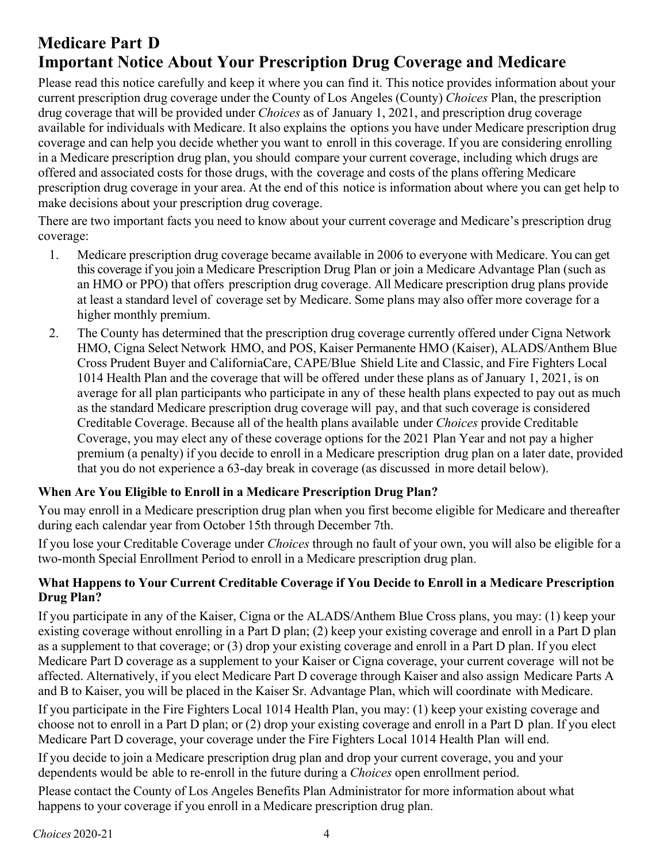# **Medicare Part D Important Notice About Your Prescription Drug Coverage and Medicare**

Please read this notice carefully and keep it where you can find it. This notice provides information about your current prescription drug coverage under the County of Los Angeles (County) *Choices* Plan, the prescription drug coverage that will be provided under *Choices* as of January 1, 2021, and prescription drug coverage available for individuals with Medicare. It also explains the options you have under Medicare prescription drug coverage and can help you decide whether you want to enroll in this coverage. If you are considering enrolling in a Medicare prescription drug plan, you should compare your current coverage, including which drugs are offered and associated costs for those drugs, with the coverage and costs of the plans offering Medicare prescription drug coverage in your area. At the end of this notice is information about where you can get help to make decisions about your prescription drug coverage.

There are two important facts you need to know about your current coverage and Medicare's prescription drug coverage:

- 1. Medicare prescription drug coverage became available in 2006 to everyone with Medicare. You can get this coverage if you join a Medicare Prescription Drug Plan or join a Medicare Advantage Plan (such as an HMO or PPO) that offers prescription drug coverage. All Medicare prescription drug plans provide at least a standard level of coverage set by Medicare. Some plans may also offer more coverage for a higher monthly premium.
- 2. The County has determined that the prescription drug coverage currently offered under Cigna Network HMO, Cigna Select Network HMO, and POS, Kaiser Permanente HMO (Kaiser), ALADS/Anthem Blue Cross Prudent Buyer and CaliforniaCare, CAPE/Blue Shield Lite and Classic, and Fire Fighters Local 1014 Health Plan and the coverage that will be offered under these plans as of January 1, 2021, is on average for all plan participants who participate in any of these health plans expected to pay out as much as the standard Medicare prescription drug coverage will pay, and that such coverage is considered Creditable Coverage. Because all of the health plans available under *Choices* provide Creditable Coverage, you may elect any of these coverage options for the 2021 Plan Year and not pay a higher premium (a penalty) if you decide to enroll in a Medicare prescription drug plan on a later date, provided that you do not experience a 63-day break in coverage (as discussed in more detail below).

## **When Are You Eligible to Enroll in a Medicare Prescription Drug Plan?**

You may enroll in a Medicare prescription drug plan when you first become eligible for Medicare and thereafter during each calendar year from October 15th through December 7th.

If you lose your Creditable Coverage under *Choices* through no fault of your own, you will also be eligible for a two-month Special Enrollment Period to enroll in a Medicare prescription drug plan.

### **What Happens to Your Current Creditable Coverage if You Decide to Enroll in a Medicare Prescription Drug Plan?**

If you participate in any of the Kaiser, Cigna or the ALADS/Anthem Blue Cross plans, you may: (1) keep your existing coverage without enrolling in a Part D plan; (2) keep your existing coverage and enroll in a Part D plan as a supplement to that coverage; or (3) drop your existing coverage and enroll in a Part D plan. If you elect Medicare Part D coverage as a supplement to your Kaiser or Cigna coverage, your current coverage will not be affected. Alternatively, if you elect Medicare Part D coverage through Kaiser and also assign Medicare Parts A and B to Kaiser, you will be placed in the Kaiser Sr. Advantage Plan, which will coordinate with Medicare.

If you participate in the Fire Fighters Local 1014 Health Plan, you may: (1) keep your existing coverage and choose not to enroll in a Part D plan; or (2) drop your existing coverage and enroll in a Part D plan. If you elect Medicare Part D coverage, your coverage under the Fire Fighters Local 1014 Health Plan will end.

If you decide to join a Medicare prescription drug plan and drop your current coverage, you and your dependents would be able to re-enroll in the future during a *Choices* open enrollment period.

Please contact the County of Los Angeles Benefits Plan Administrator for more information about what happens to your coverage if you enroll in a Medicare prescription drug plan.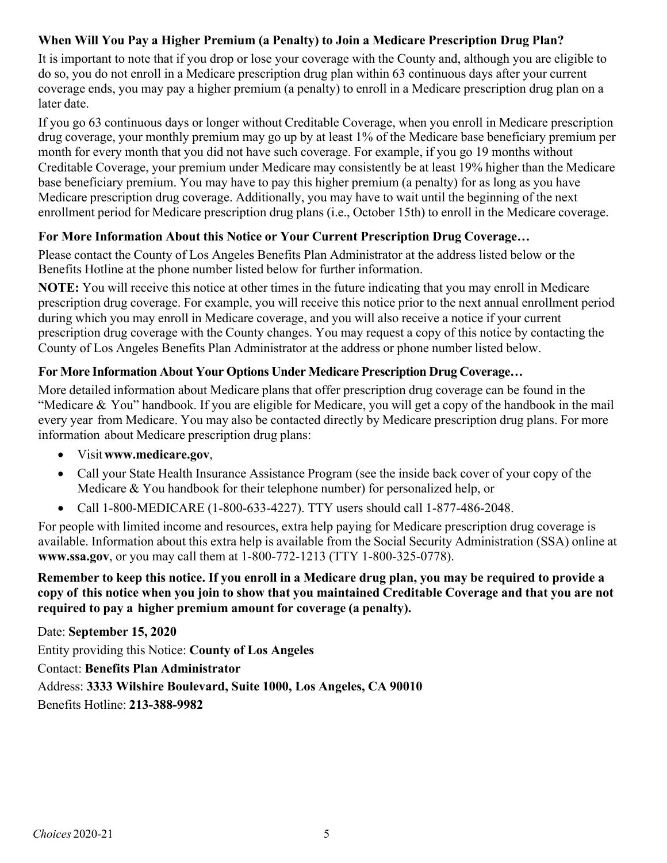## **When Will You Pay a Higher Premium (a Penalty) to Join a Medicare Prescription Drug Plan?**

It is important to note that if you drop or lose your coverage with the County and, although you are eligible to do so, you do not enroll in a Medicare prescription drug plan within 63 continuous days after your current coverage ends, you may pay a higher premium (a penalty) to enroll in a Medicare prescription drug plan on a later date.

If you go 63 continuous days or longer without Creditable Coverage, when you enroll in Medicare prescription drug coverage, your monthly premium may go up by at least 1% of the Medicare base beneficiary premium per month for every month that you did not have such coverage. For example, if you go 19 months without Creditable Coverage, your premium under Medicare may consistently be at least 19% higher than the Medicare base beneficiary premium. You may have to pay this higher premium (a penalty) for as long as you have Medicare prescription drug coverage. Additionally, you may have to wait until the beginning of the next enrollment period for Medicare prescription drug plans (i.e., October 15th) to enroll in the Medicare coverage.

## **For More Information About this Notice or Your Current Prescription Drug Coverage…**

Please contact the County of Los Angeles Benefits Plan Administrator at the address listed below or the Benefits Hotline at the phone number listed below for further information.

**NOTE:** You will receive this notice at other times in the future indicating that you may enroll in Medicare prescription drug coverage. For example, you will receive this notice prior to the next annual enrollment period during which you may enroll in Medicare coverage, and you will also receive a notice if your current prescription drug coverage with the County changes. You may request a copy of this notice by contacting the County of Los Angeles Benefits Plan Administrator at the address or phone number listed below.

## **For More Information About Your Options Under Medicare Prescription Drug Coverage…**

More detailed information about Medicare plans that offer prescription drug coverage can be found in the "Medicare & You" handbook. If you are eligible for Medicare, you will get a copy of the handbook in the mail every year from Medicare. You may also be contacted directly by Medicare prescription drug plans. For more information about Medicare prescription drug plans:

- Visit**www.medicare.gov**,
- Call your State Health Insurance Assistance Program (see the inside back cover of your copy of the Medicare & You handbook for their telephone number) for personalized help, or
- Call 1-800-MEDICARE (1-800-633-4227). TTY users should call 1-877-486-2048.

For people with limited income and resources, extra help paying for Medicare prescription drug coverage is available. Information about this extra help is available from the Social Security Administration (SSA) online at **www.ssa.gov**, or you may call them at 1-800-772-1213 (TTY 1-800-325-0778).

Remember to keep this notice. If you enroll in a Medicare drug plan, you may be required to provide a copy of this notice when you join to show that you maintained Creditable Coverage and that you are not **required to pay a higher premium amount for coverage (a penalty).**

Date: **September 15, 2020** Entity providing this Notice: **County of Los Angeles** Contact: **Benefits Plan Administrator** Address: **3333 Wilshire Boulevard, Suite 1000, Los Angeles, CA 90010** Benefits Hotline: **213-388-9982**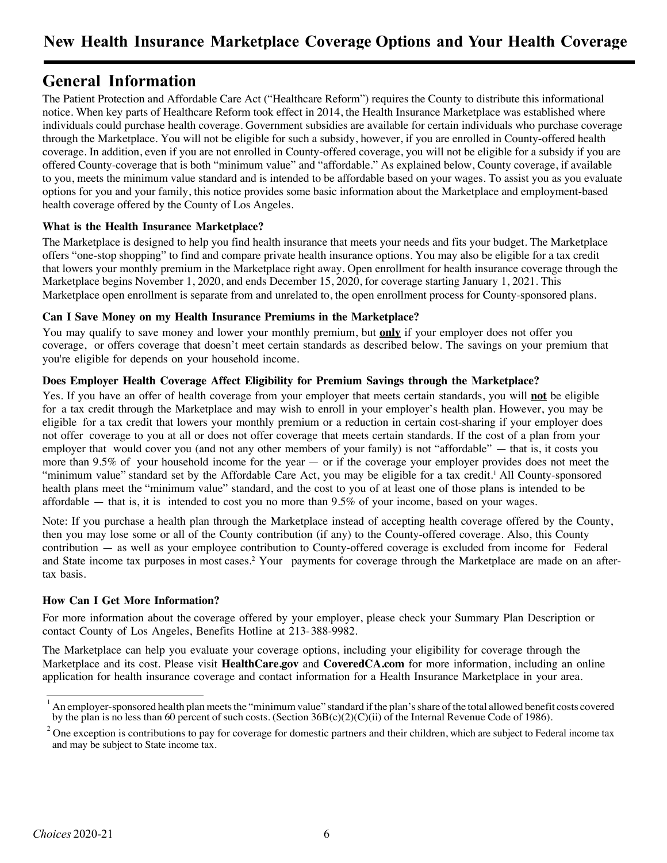## **General Information**

The Patient Protection and Affordable Care Act ("Healthcare Reform") requires the County to distribute this informational notice. When key parts of Healthcare Reform took effect in 2014, the Health Insurance Marketplace was established where individuals could purchase health coverage. Government subsidies are available for certain individuals who purchase coverage through the Marketplace. You will not be eligible for such a subsidy, however, if you are enrolled in County-offered health coverage. In addition, even if you are not enrolled in County-offered coverage, you will not be eligible for a subsidy if you are offered County-coverage that is both "minimum value" and "affordable." As explained below, County coverage, if available to you, meets the minimum value standard and is intended to be affordable based on your wages. To assist you as you evaluate options for you and your family, this notice provides some basic information about the Marketplace and employment-based health coverage offered by the County of Los Angeles.

#### **What is the Health Insurance Marketplace?**

The Marketplace is designed to help you find health insurance that meets your needs and fits your budget. The Marketplace offers "one-stop shopping" to find and compare private health insurance options. You may also be eligible for a tax credit that lowers your monthly premium in the Marketplace right away. Open enrollment for health insurance coverage through the Marketplace begins November 1, 2020, and ends December 15, 2020, for coverage starting January 1, 2021. This Marketplace open enrollment is separate from and unrelated to, the open enrollment process for County-sponsored plans.

#### **Can I Save Money on my Health Insurance Premiums in the Marketplace?**

You may qualify to save money and lower your monthly premium, but **only** if your employer does not offer you coverage, or offers coverage that doesn't meet certain standards as described below. The savings on your premium that you're eligible for depends on your household income.

#### **Does Employer Health Coverage Affect Eligibility for Premium Savings through the Marketplace?**

Yes. If you have an offer of health coverage from your employer that meets certain standards, you will **not** be eligible for a tax credit through the Marketplace and may wish to enroll in your employer's health plan. However, you may be eligible for a tax credit that lowers your monthly premium or a reduction in certain cost-sharing if your employer does not offer coverage to you at all or does not offer coverage that meets certain standards. If the cost of a plan from your employer that would cover you (and not any other members of your family) is not "affordable" — that is, it costs you more than 9.5% of your household income for the year — or if the coverage your employer provides does not meet the "minimum value" standard set by the Affordable Care Act, you may be eligible for a tax credit. <sup>1</sup> All County-sponsored health plans meet the "minimum value" standard, and the cost to you of at least one of those plans is intended to be affordable — that is, it is intended to cost you no more than 9.5% of your income, based on your wages.

Note: If you purchase a health plan through the Marketplace instead of accepting health coverage offered by the County, then you may lose some or all of the County contribution (if any) to the County-offered coverage. Also, this County contribution — as well as your employee contribution to County-offered coverage is excluded from income for Federal and State income tax purposes in most cases. <sup>2</sup> Your payments for coverage through the Marketplace are made on an aftertax basis.

#### **How Can I Get More Information?**

For more information about the coverage offered by your employer, please check your Summary Plan Description or contact County of Los Angeles, Benefits Hotline at 213-388-9982.

The Marketplace can help you evaluate your coverage options, including your eligibility for coverage through the Marketplace and its cost. Please visit **HealthCare.gov** and **CoveredCA.com** for more information, including an online application for health insurance coverage and contact information for a Health Insurance Marketplace in your area.

 $^1$  An employer-sponsored health plan meets the "minimum value" standard if the plan's share of the total allowed benefit costs covered by the plan is no less than 60 percent of such costs. (Section 36B(c)(2)(C)(ii) of the Internal Revenue Code of 1986).

 $2$  One exception is contributions to pay for coverage for domestic partners and their children, which are subject to Federal income tax and may be subject to State income tax.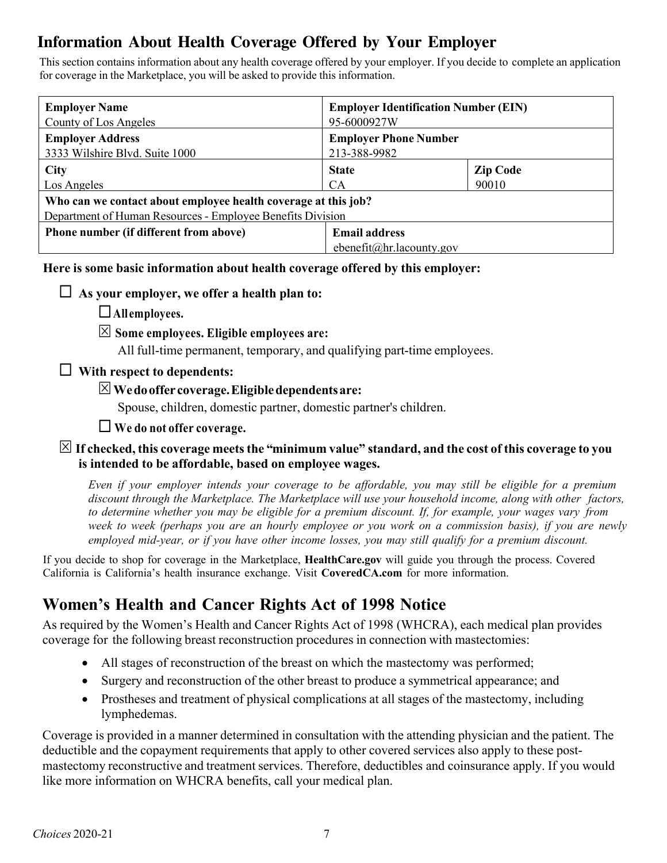# **Information About Health Coverage Offered by Your Employer**

This section contains information about any health coverage offered by your employer. If you decide to complete an application for coverage in the Marketplace, you will be asked to provide this information.

| <b>Employer Identification Number (EIN)</b><br>95-6000927W                                                                                  |                                                                          |  |  |  |
|---------------------------------------------------------------------------------------------------------------------------------------------|--------------------------------------------------------------------------|--|--|--|
|                                                                                                                                             |                                                                          |  |  |  |
| <b>State</b><br><b>CA</b>                                                                                                                   | <b>Zip Code</b><br>90010                                                 |  |  |  |
| Los Angeles<br>Who can we contact about employee health coverage at this job?<br>Department of Human Resources - Employee Benefits Division |                                                                          |  |  |  |
| <b>Email address</b>                                                                                                                        |                                                                          |  |  |  |
|                                                                                                                                             | <b>Employer Phone Number</b><br>213-388-9982<br>ebenefit@hr.lacounty.gov |  |  |  |

### **Here is some basic information about health coverage offered by this employer:**

### $\Box$  As your employer, we offer a health plan to:

- ¨**All employees.**
- S **Some employees. Eligible employees are:**
	- All full-time permanent, temporary, and qualifying part-time employees.

### ¨ **With respect to dependents:**

### S**Wedooffer coverage.Eligibledependentsare:**

Spouse, children, domestic partner, domestic partner's children.

## ¨ **We do not offer coverage.**

### $\boxtimes$  If checked, this coverage meets the "minimum value" standard, and the cost of this coverage to you **is intended to be affordable, based on employee wages.**

Even if your employer intends your coverage to be affordable, you may still be eligible for a premium *discount through the Marketplace. The Marketplace will use your household income, along with other factors,* to determine whether you may be eligible for a premium discount. If, for example, your wages vary from week to week (perhaps you are an hourly employee or you work on a commission basis), if you are newly *employed mid-year, or if you have other income losses, you may still qualify for a premium discount.*

If you decide to shop for coverage in the Marketplace, **HealthCare.gov** will guide you through the process. Covered California is California's health insurance exchange. Visit **CoveredCA.com** for more information.

# **Women's Health and Cancer Rights Act of 1998 Notice**

As required by the Women's Health and Cancer Rights Act of 1998 (WHCRA), each medical plan provides coverage for the following breast reconstruction procedures in connection with mastectomies:

- All stages of reconstruction of the breast on which the mastectomy was performed;
- Surgery and reconstruction of the other breast to produce a symmetrical appearance; and
- Prostheses and treatment of physical complications at all stages of the mastectomy, including lymphedemas.

Coverage is provided in a manner determined in consultation with the attending physician and the patient. The deductible and the copayment requirements that apply to other covered services also apply to these postmastectomy reconstructive and treatment services. Therefore, deductibles and coinsurance apply. If you would like more information on WHCRA benefits, call your medical plan.